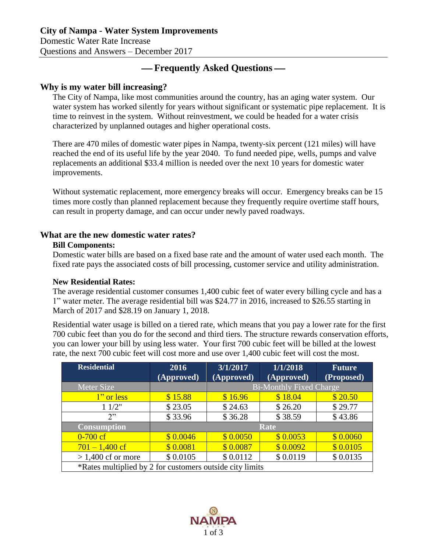Domestic Water Rate Increase Questions and Answers – December 2017

# **Frequently Asked Questions**

## **Why is my water bill increasing?**

The City of Nampa, like most communities around the country, has an aging water system. Our water system has worked silently for years without significant or systematic pipe replacement. It is time to reinvest in the system. Without reinvestment, we could be headed for a water crisis characterized by unplanned outages and higher operational costs.

There are 470 miles of domestic water pipes in Nampa, twenty-six percent (121 miles) will have reached the end of its useful life by the year 2040. To fund needed pipe, wells, pumps and valve replacements an additional \$33.4 million is needed over the next 10 years for domestic water improvements.

Without systematic replacement, more emergency breaks will occur. Emergency breaks can be 15 times more costly than planned replacement because they frequently require overtime staff hours, can result in property damage, and can occur under newly paved roadways.

## **What are the new domestic water rates?**

#### **Bill Components:**

Domestic water bills are based on a fixed base rate and the amount of water used each month. The fixed rate pays the associated costs of bill processing, customer service and utility administration.

### **New Residential Rates:**

The average residential customer consumes 1,400 cubic feet of water every billing cycle and has a 1" water meter. The average residential bill was \$24.77 in 2016, increased to \$26.55 starting in March of 2017 and \$28.19 on January 1, 2018.

Residential water usage is billed on a tiered rate, which means that you pay a lower rate for the first 700 cubic feet than you do for the second and third tiers. The structure rewards conservation efforts, you can lower your bill by using less water. Your first 700 cubic feet will be billed at the lowest rate, the next 700 cubic feet will cost more and use over 1,400 cubic feet will cost the most.

| <b>Residential</b>                                       | 2016       | 3/1/2017                       | 1/1/2018   | Future     |  |  |  |
|----------------------------------------------------------|------------|--------------------------------|------------|------------|--|--|--|
|                                                          | (Approved) | (Approved)                     | (Approved) | (Proposed) |  |  |  |
| Meter Size                                               |            | <b>Bi-Monthly Fixed Charge</b> |            |            |  |  |  |
| 1" or less                                               | \$15.88    | \$16.96                        | \$18.04    | \$20.50    |  |  |  |
| 11/2"                                                    | \$23.05    | \$24.63                        | \$26.20    | \$29.77    |  |  |  |
| 2"                                                       | \$33.96    | \$36.28                        | \$38.59    | \$43.86    |  |  |  |
| <b>Consumption</b>                                       | Rate       |                                |            |            |  |  |  |
| $0 - 700$ cf                                             | \$0.0046   | \$0.0050                       | \$0.0053   | \$0.0060   |  |  |  |
| $701 - 1,400$ cf                                         | \$0.0081   | \$0.0087                       | \$0.0092   | \$0.0105   |  |  |  |
| $> 1,400$ cf or more                                     | \$0.0105   | \$0.0112                       | \$0.0119   | \$0.0135   |  |  |  |
| *Rates multiplied by 2 for customers outside city limits |            |                                |            |            |  |  |  |

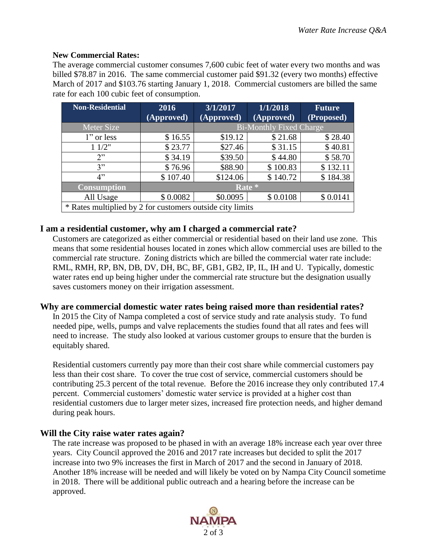#### **New Commercial Rates:**

The average commercial customer consumes 7,600 cubic feet of water every two months and was billed \$78.87 in 2016. The same commercial customer paid \$91.32 (every two months) effective March of 2017 and \$103.76 starting January 1, 2018. Commercial customers are billed the same rate for each 100 cubic feet of consumption.

| <b>Non-Residential</b>                                    | 2016       | 3/1/2017                       | 1/1/2018                       | <b>Future</b> |  |  |  |  |
|-----------------------------------------------------------|------------|--------------------------------|--------------------------------|---------------|--|--|--|--|
|                                                           | (Approved) | (Approved)                     | $\overline{(\text{Approved})}$ | (Proposed)    |  |  |  |  |
| Meter Size                                                |            | <b>Bi-Monthly Fixed Charge</b> |                                |               |  |  |  |  |
| 1" or less                                                | \$16.55    | \$19.12                        | \$21.68                        | \$28.40       |  |  |  |  |
| 11/2"                                                     | \$23.77    | \$27.46                        | \$31.15                        | \$40.81       |  |  |  |  |
| 2"                                                        | \$34.19    | \$39.50                        | \$44.80                        | \$58.70       |  |  |  |  |
| 3"                                                        | \$76.96    | \$88.90                        | \$100.83                       | \$132.11      |  |  |  |  |
| 4"                                                        | \$107.40   | \$124.06                       | \$140.72                       | \$184.38      |  |  |  |  |
| <b>Consumption</b>                                        | Rate *     |                                |                                |               |  |  |  |  |
| All Usage                                                 | \$0.0082   | \$0.0095                       | \$0.0108                       | \$0.0141      |  |  |  |  |
| * Rates multiplied by 2 for customers outside city limits |            |                                |                                |               |  |  |  |  |

### **I am a residential customer, why am I charged a commercial rate?**

Customers are categorized as either commercial or residential based on their land use zone. This means that some residential houses located in zones which allow commercial uses are billed to the commercial rate structure. Zoning districts which are billed the commercial water rate include: RML, RMH, RP, BN, DB, DV, DH, BC, BF, GB1, GB2, IP, IL, IH and U. Typically, domestic water rates end up being higher under the commercial rate structure but the designation usually saves customers money on their irrigation assessment.

### **Why are commercial domestic water rates being raised more than residential rates?**

In 2015 the City of Nampa completed a cost of service study and rate analysis study. To fund needed pipe, wells, pumps and valve replacements the studies found that all rates and fees will need to increase. The study also looked at various customer groups to ensure that the burden is equitably shared.

Residential customers currently pay more than their cost share while commercial customers pay less than their cost share. To cover the true cost of service, commercial customers should be contributing 25.3 percent of the total revenue. Before the 2016 increase they only contributed 17.4 percent. Commercial customers' domestic water service is provided at a higher cost than residential customers due to larger meter sizes, increased fire protection needs, and higher demand during peak hours.

### **Will the City raise water rates again?**

The rate increase was proposed to be phased in with an average 18% increase each year over three years. City Council approved the 2016 and 2017 rate increases but decided to split the 2017 increase into two 9% increases the first in March of 2017 and the second in January of 2018. Another 18% increase will be needed and will likely be voted on by Nampa City Council sometime in 2018. There will be additional public outreach and a hearing before the increase can be approved.